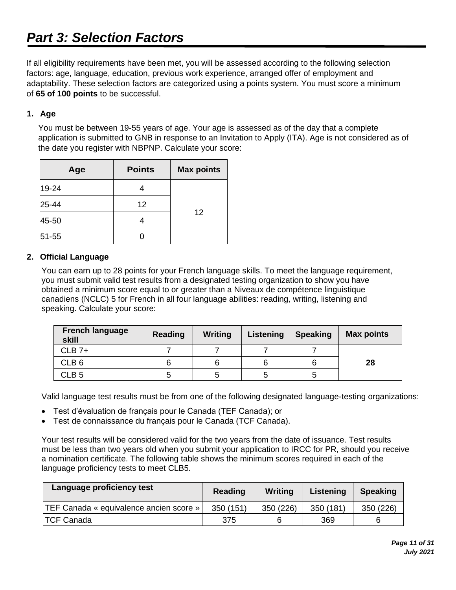If all eligibility requirements have been met, you will be assessed according to the following selection factors: age, language, education, previous work experience, arranged offer of employment and adaptability. These selection factors are categorized using a points system. You must score a minimum of **65 of 100 points** to be successful.

# **1. Age**

You must be between 19-55 years of age. Your age is assessed as of the day that a complete application is submitted to GNB in response to an Invitation to Apply (ITA). Age is not considered as of the date you register with NBPNP. Calculate your score:

| Age       | <b>Points</b> | <b>Max points</b> |
|-----------|---------------|-------------------|
| 19-24     |               |                   |
| 25-44     | 12            |                   |
| 45-50     |               | 12                |
| $51 - 55$ |               |                   |

### **2. Official Language**

You can earn up to 28 points for your French language skills. To meet the language requirement, you must submit valid test results from a designated testing organization to show you have obtained a minimum score equal to or greater than a Niveaux de compétence linguistique canadiens (NCLC) 5 for French in all four language abilities: reading, writing, listening and speaking. Calculate your score:

| <b>French language</b><br>skill | <b>Reading</b> | <b>Writing</b> | Listening | <b>Speaking</b> | <b>Max points</b> |
|---------------------------------|----------------|----------------|-----------|-----------------|-------------------|
| $CLB$ 7+                        |                |                |           |                 |                   |
| CLB <sub>6</sub>                |                |                |           |                 | 28                |
| CLB <sub>5</sub>                | G              |                |           | G               |                   |

Valid language test results must be from one of the following designated language-testing organizations:

- Test d'évaluation de français pour le Canada (TEF Canada); or
- Test de connaissance du français pour le Canada (TCF Canada).

Your test results will be considered valid for the two years from the date of issuance. Test results must be less than two years old when you submit your application to IRCC for PR, should you receive a nomination certificate. The following table shows the minimum scores required in each of the language proficiency tests to meet CLB5.

| Language proficiency test                      | Reading   | Writing   | Listening | <b>Speaking</b> |  |
|------------------------------------------------|-----------|-----------|-----------|-----------------|--|
| <b>TEF Canada « equivalence ancien score »</b> | 350 (151) | 350 (226) | 350 (181) | 350 (226)       |  |
| <b>TCF Canada</b>                              | 375       |           | 369       |                 |  |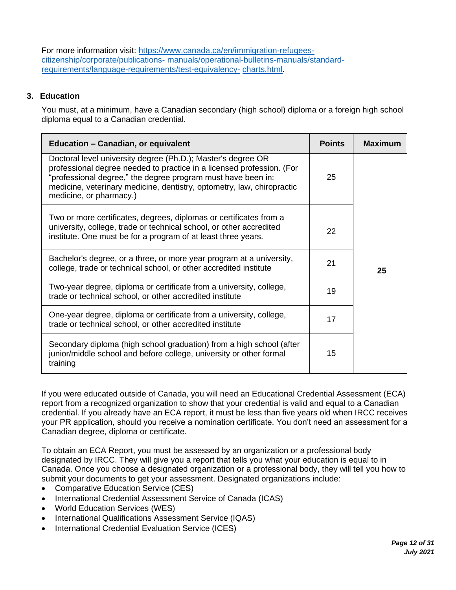For more information visit: [https://www.canada.ca/en/immigration-refugees](https://www.canada.ca/en/immigration-refugees-citizenship/corporate/publications-manuals/operational-bulletins-manuals/standard-requirements/language-requirements/test-equivalency-charts.html)[citizenship/corporate/publications-](https://www.canada.ca/en/immigration-refugees-citizenship/corporate/publications-manuals/operational-bulletins-manuals/standard-requirements/language-requirements/test-equivalency-charts.html) [manuals/operational-bulletins-manuals/standard](https://www.canada.ca/en/immigration-refugees-citizenship/corporate/publications-manuals/operational-bulletins-manuals/standard-requirements/language-requirements/test-equivalency-charts.html)[requirements/language-requirements/test-equivalency-](https://www.canada.ca/en/immigration-refugees-citizenship/corporate/publications-manuals/operational-bulletins-manuals/standard-requirements/language-requirements/test-equivalency-charts.html) [charts.html.](https://www.canada.ca/en/immigration-refugees-citizenship/corporate/publications-manuals/operational-bulletins-manuals/standard-requirements/language-requirements/test-equivalency-charts.html)

# **3. Education**

You must, at a minimum, have a Canadian secondary (high school) diploma or a foreign high school diploma equal to a Canadian credential.

| <b>Education - Canadian, or equivalent</b>                                                                                                                                                                                                                                                                 |    | Maximum |
|------------------------------------------------------------------------------------------------------------------------------------------------------------------------------------------------------------------------------------------------------------------------------------------------------------|----|---------|
| Doctoral level university degree (Ph.D.); Master's degree OR<br>professional degree needed to practice in a licensed profession. (For<br>"professional degree," the degree program must have been in:<br>medicine, veterinary medicine, dentistry, optometry, law, chiropractic<br>medicine, or pharmacy.) | 25 |         |
| Two or more certificates, degrees, diplomas or certificates from a<br>university, college, trade or technical school, or other accredited<br>institute. One must be for a program of at least three years.                                                                                                 | 22 |         |
| Bachelor's degree, or a three, or more year program at a university,<br>college, trade or technical school, or other accredited institute                                                                                                                                                                  | 21 | 25      |
| Two-year degree, diploma or certificate from a university, college,<br>trade or technical school, or other accredited institute                                                                                                                                                                            | 19 |         |
| One-year degree, diploma or certificate from a university, college,<br>trade or technical school, or other accredited institute                                                                                                                                                                            | 17 |         |
| Secondary diploma (high school graduation) from a high school (after<br>junior/middle school and before college, university or other formal<br>training                                                                                                                                                    | 15 |         |

If you were educated outside of Canada, you will need an Educational Credential Assessment (ECA) report from a recognized organization to show that your credential is valid and equal to a Canadian credential. If you already have an ECA report, it must be less than five years old when IRCC receives your PR application, should you receive a nomination certificate. You don't need an assessment for a Canadian degree, diploma or certificate.

To obtain an ECA Report, you must be assessed by an organization or a professional body designated by IRCC. They will give you a report that tells you what your education is equal to in Canada. Once you choose a designated organization or a professional body, they will tell you how to submit your documents to get your assessment. Designated organizations include:

- Comparative Education Service (CES)
- International Credential Assessment Service of Canada (ICAS)
- World Education Services (WES)
- International Qualifications Assessment Service (IQAS)
- International Credential Evaluation Service (ICES)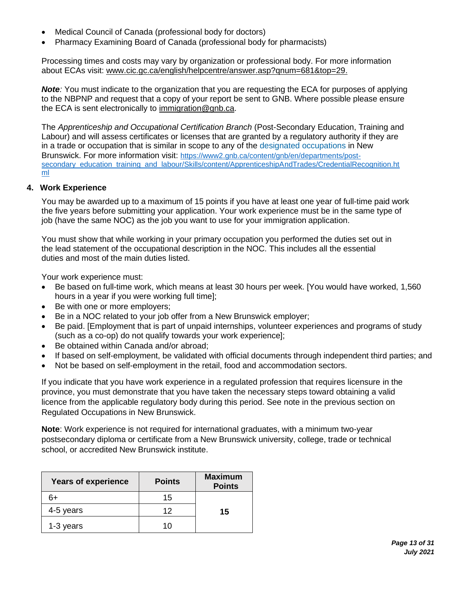- Medical Council of Canada (professional body for doctors)
- Pharmacy Examining Board of Canada (professional body for pharmacists)

Processing times and costs may vary by organization or professional body. For more information about ECAs visit: [www.cic.gc.ca/english/helpcentre/answer.asp?qnum=681&top=29.](http://www.cic.gc.ca/english/helpcentre/answer.asp?qnum=681&top=29)

*Note:* You must indicate to the organization that you are requesting the ECA for purposes of applying to the NBPNP and request that a copy of your report be sent to GNB. Where possible please ensure the ECA is sent electronically to [immigration@gnb.ca.](mailto:immigration@gnb.ca)

The *Apprenticeship and Occupational Certification Branch* (Post-Secondary Education, Training and Labour) and will assess certificates or licenses that are granted by a regulatory authority if they are in a trade or occupation that is similar in scope to any of the [designated occupations i](https://www2.gnb.ca/content/gnb/en/departments/post-secondary_education_training_and_labour/Skills/content/ApprenticeshipAndTrades/DesignatedOccupations.html)n New Brunswick. For more information visit: [https://www2.gnb.ca/content/gnb/en/departments/post](https://www2.gnb.ca/content/gnb/en/departments/post-secondary_education_training_and_labour/Skills/content/ApprenticeshipAndTrades/CredentialRecognition.html)[secondary\\_education\\_training\\_and\\_labour/Skills/content/ApprenticeshipAndTrades/CredentialRecognition.ht](https://www2.gnb.ca/content/gnb/en/departments/post-secondary_education_training_and_labour/Skills/content/ApprenticeshipAndTrades/CredentialRecognition.html) [ml](https://www2.gnb.ca/content/gnb/en/departments/post-secondary_education_training_and_labour/Skills/content/ApprenticeshipAndTrades/CredentialRecognition.html)

### **4. Work Experience**

You may be awarded up to a maximum of 15 points if you have at least one year of full-time paid work the five years before submitting your application. Your work experience must be in the same type of job (have the same NOC) as the job you want to use for your immigration application.

You must show that while working in your primary occupation you performed the duties set out in the lead statement of the occupational description in the NOC. This includes all the essential duties and most of the main duties listed.

Your work experience must:

- Be based on full-time work, which means at least 30 hours per week. [You would have worked, 1,560 hours in a year if you were working full time];
- Be with one or more employers;
- Be in a NOC related to your job offer from a New Brunswick employer;
- Be paid. [Employment that is part of unpaid internships, volunteer experiences and programs of study (such as a co-op) do not qualify towards your work experience];
- Be obtained within Canada and/or abroad;
- If based on self-employment, be validated with official documents through independent third parties; and
- Not be based on self-employment in the retail, food and accommodation sectors.

If you indicate that you have work experience in a regulated profession that requires licensure in the province, you must demonstrate that you have taken the necessary steps toward obtaining a valid licence from the applicable regulatory body during this period. See note in the previous section on Regulated Occupations in New Brunswick.

**Note**: Work experience is not required for international graduates, with a minimum two-year postsecondary diploma or certificate from a New Brunswick university, college, trade or technical school, or accredited New Brunswick institute.

| <b>Years of experience</b> | <b>Points</b> | <b>Maximum</b><br><b>Points</b> |
|----------------------------|---------------|---------------------------------|
| 6+                         | 15            |                                 |
| 4-5 years                  | 12            | 15                              |
| 1-3 years                  | 11            |                                 |